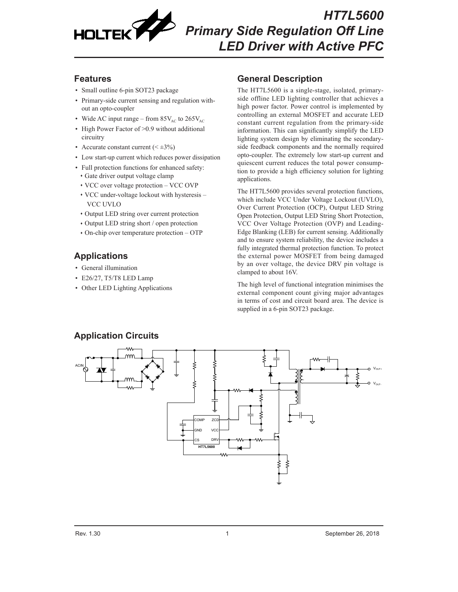

## **Features**

- Small outline 6-pin SOT23 package
- Primary-side current sensing and regulation without an opto-coupler
- Wide AC input range from  $85V_{AC}$  to  $265V_{AC}$
- High Power Factor of > 0.9 without additional circuitry
- Accurate constant current  $( $\pm 3\%$ )$
- Low start-up current which reduces power dissipation
- Full protection functions for enhanced safety:
- ♦ Gate driver output voltage clamp
- ♦ VCC over voltage protection VCC OVP
- ♦ VCC under-voltage lockout with hysteresis VCC UVLO
- ♦ Output LED string over current protection
- ♦ Output LED string short / open protection
- $\cdot$  On-chip over temperature protection OTP

# **Applications**

- General illumination
- E26/27, T5/T8 LED Lamp
- Other LED Lighting Applications

# **General Description**

The HT7L5600 is a single-stage, isolated, primaryside offline LED lighting controller that achieves a high power factor. Power control is implemented by controlling an external MOSFET and accurate LED constant current regulation from the primary-side information. This can significantly simplify the LED lighting system design by eliminating the secondaryside feedback components and the normally required opto-coupler. The extremely low start-up current and quiescent current reduces the total power consumption to provide a high efficiency solution for lighting applications.

The HT7L5600 provides several protection functions, which include VCC Under Voltage Lockout (UVLO), Over Current Protection (OCP), Output LED String Open Protection, Output LED String Short Protection, VCC Over Voltage Protection (OVP) and Leading-Edge Blanking (LEB) for current sensing. Additionally and to ensure system reliability, the device includes a fully integrated thermal protection function. To protect the external power MOSFET from being damaged by an over voltage, the device DRV pin voltage is clamped to about 16V.

The high level of functional integration minimises the external component count giving major advantages in terms of cost and circuit board area. The device is supplied in a 6-pin SOT23 package.

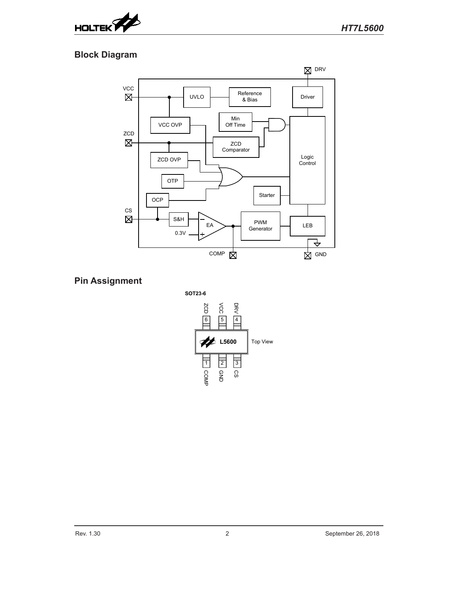

# **Block Diagram**



# **Pin Assignment**

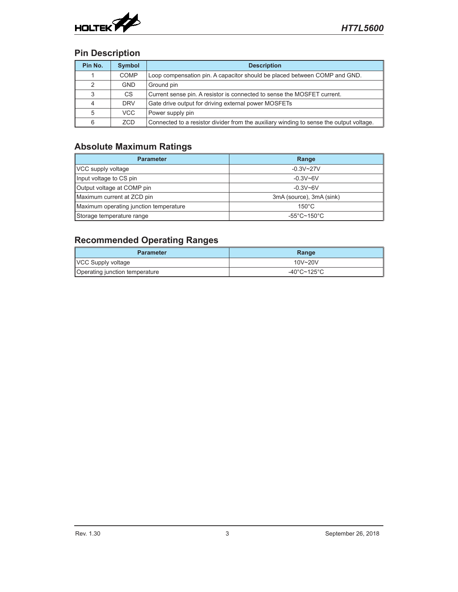

## **Pin Description**

| Pin No. | <b>Symbol</b> | <b>Description</b>                                                                      |  |
|---------|---------------|-----------------------------------------------------------------------------------------|--|
|         | <b>COMP</b>   | Loop compensation pin. A capacitor should be placed between COMP and GND.               |  |
| 2       | <b>GND</b>    | Ground pin                                                                              |  |
| 3       | CS.           | Current sense pin. A resistor is connected to sense the MOSFET current.                 |  |
| 4       | <b>DRV</b>    | Gate drive output for driving external power MOSFETs                                    |  |
| 5       | VCC           | Power supply pin                                                                        |  |
| 6       | ZCD           | Connected to a resistor divider from the auxiliary winding to sense the output voltage. |  |

# **Absolute Maximum Ratings**

| <b>Parameter</b>                       | Range                            |  |
|----------------------------------------|----------------------------------|--|
| VCC supply voltage                     | $-0.3V - 27V$                    |  |
| Input voltage to CS pin                | $-0.3V - 6V$                     |  |
| Output voltage at COMP pin             | $-0.3V - 6V$                     |  |
| Maximum current at ZCD pin             | 3mA (source), 3mA (sink)         |  |
| Maximum operating junction temperature | $150^{\circ}$ C                  |  |
| Storage temperature range              | $-55^{\circ}$ C~150 $^{\circ}$ C |  |

# **Recommended Operating Ranges**

| <b>Parameter</b>               | Range       |  |
|--------------------------------|-------------|--|
| VCC Supply voltage             | $10V - 20V$ |  |
| Operating junction temperature | -40°C~125°C |  |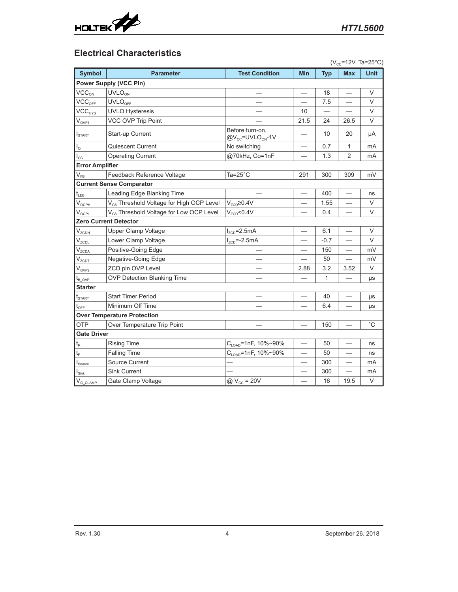

## **Electrical Characteristics**

|                                       | $(V_{cc} = 12V, Ta = 25°C)$                          |                                                             |                          |              |                          |             |  |
|---------------------------------------|------------------------------------------------------|-------------------------------------------------------------|--------------------------|--------------|--------------------------|-------------|--|
| <b>Symbol</b>                         | <b>Parameter</b>                                     | <b>Test Condition</b>                                       | <b>Min</b>               | <b>Typ</b>   | <b>Max</b>               | <b>Unit</b> |  |
|                                       | <b>Power Supply (VCC Pin)</b>                        |                                                             |                          |              |                          |             |  |
| VCC <sub>ON</sub>                     | UVLO <sub>ON</sub>                                   |                                                             |                          | 18           |                          | V           |  |
| VCC <sub>OFF</sub>                    | <b>UVLO<sub>OFF</sub></b>                            |                                                             |                          | 7.5          |                          | $\vee$      |  |
| VCC <sub>HYS</sub>                    | <b>UVLO Hysteresis</b>                               |                                                             | 10                       |              |                          | V           |  |
| $V_{OVP1}$                            | VCC OVP Trip Point                                   |                                                             | 21.5                     | 24           | 26.5                     | V           |  |
| $I_{\text{STAT}}$                     | Start-up Current                                     | Before turn-on.<br>@V <sub>cc</sub> =UVLO <sub>ON</sub> -1V |                          | 10           | 20                       | μA          |  |
| $I_{\odot}$                           | Quiescent Current                                    | No switching                                                |                          | 0.7          | 1                        | mA          |  |
| $I_{\rm CC}$                          | <b>Operating Current</b>                             | @70kHz, Co=1nF                                              |                          | 1.3          | 2                        | mA          |  |
| <b>Error Amplifier</b>                |                                                      |                                                             |                          |              |                          |             |  |
| $V_{FB}$                              | Feedback Reference Voltage                           | Ta=25°C                                                     | 291                      | 300          | 309                      | mV          |  |
|                                       | <b>Current Sense Comparator</b>                      |                                                             |                          |              |                          |             |  |
| $t_{\scriptscriptstyle\rm LEB}$       | Leading Edge Blanking Time                           |                                                             |                          | 400          |                          | ns          |  |
| $V_{OCPH}$                            | V <sub>cs</sub> Threshold Voltage for High OCP Level | $V_{ZCD} \ge 0.4V$                                          |                          | 1.55         |                          | V           |  |
| $\mathsf{V}_{\texttt{OCPL}}$          | V <sub>CS</sub> Threshold Voltage for Low OCP Level  | $V_{ZCD}$ <0.4V                                             |                          | 0.4          |                          | V           |  |
|                                       | <b>Zero Current Detector</b>                         |                                                             |                          |              |                          |             |  |
| V <sub>zcDH</sub>                     | Upper Clamp Voltage                                  | $I_{ZCD}$ =2.5mA                                            |                          | 6.1          |                          | V           |  |
| $V_{ZCDL}$                            | Lower Clamp Voltage                                  | $I_{ZCD}$ =-2.5mA                                           |                          | $-0.7$       |                          | V           |  |
| $V_{ZCDA}$                            | Positive-Going Edge                                  |                                                             |                          | 150          |                          | mV          |  |
| V <sub>ZCDT</sub>                     | Negative-Going Edge                                  |                                                             |                          | 50           |                          | mV          |  |
| $V_{OVP2}$                            | ZCD pin OVP Level                                    |                                                             | 2.88                     | 3.2          | 3.52                     | V           |  |
| $\mathfrak{t}_{\text{\tiny B\_OVP}}$  | OVP Detection Blanking Time                          |                                                             |                          | $\mathbf{1}$ |                          | μs          |  |
| <b>Starter</b>                        |                                                      |                                                             |                          |              |                          |             |  |
| $t_{\scriptscriptstyle \text{START}}$ | <b>Start Timer Period</b>                            |                                                             |                          | 40           |                          | μs          |  |
| $t_{\text{OFF}}$                      | Minimum Off Time                                     |                                                             |                          | 6.4          |                          | μs          |  |
|                                       | <b>Over Temperature Protection</b>                   |                                                             |                          |              |                          |             |  |
| <b>OTP</b>                            | Over Temperature Trip Point                          |                                                             |                          | 150          |                          | $^{\circ}C$ |  |
| <b>Gate Driver</b>                    |                                                      |                                                             |                          |              |                          |             |  |
| $t_{\mathsf{R}}$                      | <b>Rising Time</b>                                   | C <sub>LOAD</sub> =1nF, 10%~90%                             |                          | 50           |                          | ns          |  |
| $t_F$                                 | <b>Falling Time</b>                                  | C <sub>LOAD</sub> =1nF, 10%~90%                             |                          | 50           |                          | ns          |  |
| $I_{\text{Source}}$                   | Source Current                                       |                                                             |                          | 300          | $\overline{\phantom{0}}$ | mA          |  |
| $\mathsf{I}_{\mathsf{Sink}}$          | <b>Sink Current</b>                                  |                                                             |                          | 300          |                          | mA          |  |
| $V_{G\underline{\texttt{CLAMP}}}$     | Gate Clamp Voltage                                   | $@V_{cc} = 20V$                                             | $\overline{\phantom{0}}$ | 16           | 19.5                     | $\vee$      |  |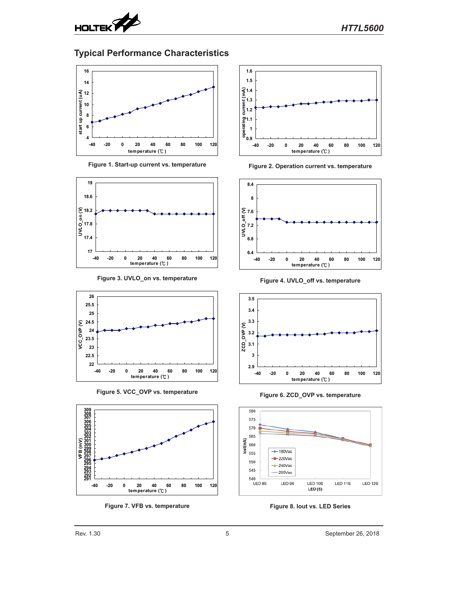

## **Typical Performance Characteristics**



**Figure 1. Start-up current vs. temperature**











**Figure 7. VFB vs. temperature**



**Figure 2. Operation current vs. temperature**



**Figure 4. UVLO\_off vs. temperature**



**Figure 6. ZCD\_OVP vs. temperature**



**Figure 8. Iout vs. LED Series**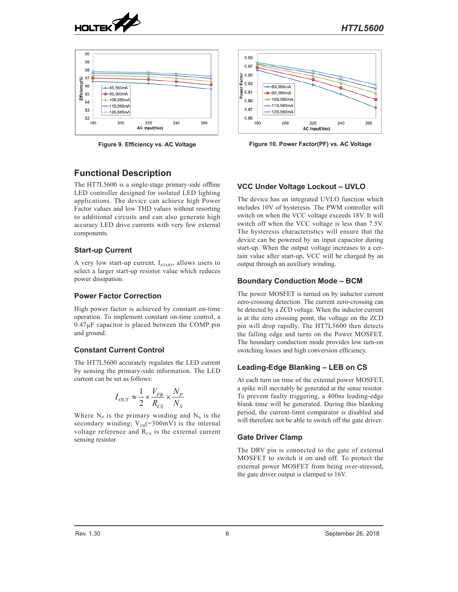



### **Functional Description**

The HT7L5600 is a single-stage primary-side offline LED controller designed for isolated LED lighting applications. The device can achieve high Power Factor values and low THD values without resorting to additional circuits and can also generate high accuracy LED drive currents with very few external components.

#### **Start-up Current**

A very low start-up current,  $I_{\text{START}}$ , allows users to select a larger start-up resistor value which reduces power dissipation.

#### **Power Factor Correction**

High power factor is achieved by constant on-time operation. To implement constant on-time control, a  $0.47\mu$ F capacitor is placed between the COMP pin and ground.

### **Constant Current Control**

The HT7L5600 accurately regulates the LED current by sensing the primary-side information. The LED current can be set as follows:

$$
I_{OUT} \approx \frac{1}{2} \times \frac{V_{FB}}{R_{CS}} \times \frac{N_P}{N_S}
$$

Where  $N_{P}$  is the primary winding and  $N_{S}$  is the secondary winding;  $V_{FB}$ (=300mV) is the internal voltage reference and  $R_{\text{cs}}$  is the external current sensing resistor.



**Figure 9. Efficiency vs. AC Voltage Figure 10. Power Factor(PF) vs. AC Voltage**

### **VCC Under Voltage Lockout – UVLO**

The device has an integrated UVLO function which includes 10V of hysteresis. The PWM controller will switch on when the VCC voltage exceeds 18V. It will switch off when the VCC voltage is less than 7.5V. The hysteresis characteristics will ensure that the device can be powered by an input capacitor during start-up. When the output voltage increases to a certain value after start-up, VCC will be charged by an output through an auxiliary winding.

#### **Boundary Conduction Mode – BCM**

The power MOSFET is turned on by inductor current zero-crossing detection. The current zero-crossing can be detected by a ZCD voltage. When the inductor current is at the zero crossing point, the voltage on the ZCD pin will drop rapidly. The HT7L5600 then detects the falling edge and turns on the Power MOSFET. The boundary conduction mode provides low turn-on switching losses and high conversion efficiency.

### **Leading-Edge Blanking – LEB on CS**

At each turn on time of the external power MOSFET, a spike will inevitably be generated at the sense resistor. To prevent faulty triggering, a 400ns leading-edge blank time will be generated. During this blanking period, the current-limit comparator is disabled and will therefore not be able to switch off the gate driver.

### **Gate Driver Clamp**

The DRV pin is connected to the gate of external MOSFET to switch it on and off. To protect the external power MOSFET from being over-stressed, the gate driver output is clamped to 16V.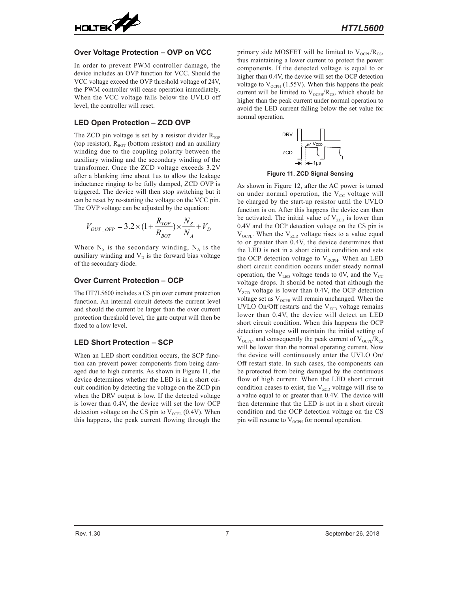

#### **Over Voltage Protection – OVP on VCC**

In order to prevent PWM controller damage, the device includes an OVP function for VCC. Should the VCC voltage exceed the OVP threshold voltage of 24V, the PWM controller will cease operation immediately. When the VCC voltage falls below the UVLO off level, the controller will reset.

### **LED Open Protection – ZCD OVP**

The ZCD pin voltage is set by a resistor divider  $R_{\text{TOP}}$ (top resistor),  $R_{\text{ROT}}$  (bottom resistor) and an auxiliary winding due to the coupling polarity between the auxiliary winding and the secondary winding of the transformer. Once the ZCD voltage exceeds 3.2V after a blanking time about 1us to allow the leakage inductance ringing to be fully damped, ZCD OVP is triggered. The device will then stop switching but it can be reset by re-starting the voltage on the VCC pin. The OVP voltage can be adjusted by the equation:

$$
V_{OUT\_OVP} = 3.2 \times (1 + \frac{R_{TOP}}{R_{BOT}}) \times \frac{N_S}{N_A} + V_D
$$

Where  $N<sub>S</sub>$  is the secondary winding,  $N<sub>A</sub>$  is the auxiliary winding and  $V<sub>D</sub>$  is the forward bias voltage of the secondary diode.

#### **Over Current Protection – OCP**

The HT7L5600 includes a CS pin over current protection function. An internal circuit detects the current level and should the current be larger than the over current protection threshold level, the gate output will then be fixed to a low level.

#### **LED Short Protection – SCP**

When an LED short condition occurs, the SCP function can prevent power components from being damaged due to high currents. As shown in Figure 11, the device determines whether the LED is in a short circuit condition by detecting the voltage on the ZCD pin when the DRV output is low. If the detected voltage is lower than 0.4V, the device will set the low OCP detection voltage on the CS pin to  $V_{\text{OCH}}$  (0.4V). When this happens, the peak current flowing through the

primary side MOSFET will be limited to  $V_{OCPL}/R_{CS}$ , thus maintaining a lower current to protect the power components. If the detected voltage is equal to or higher than 0.4V, the device will set the OCP detection voltage to  $V_{\text{OCPH}}$  (1.55V). When this happens the peak current will be limited to  $V_{OCPH}/R_{CS}$ , which should be higher than the peak current under normal operation to avoid the LED current falling below the set value for normal operation.



**Figure 11. ZCD Signal Sensing**

As shown in Figure 12, after the AC power is turned on under normal operation, the  $V_{cc}$  voltage will be charged by the start-up resistor until the UVLO function is on. After this happens the device can then be activated. The initial value of  $V_{ZCD}$  is lower than 0.4V and the OCP detection voltage on the CS pin is  $V_{\text{OCPL}}$ . When the  $V_{\text{ZCD}}$  voltage rises to a value equal to or greater than 0.4V, the device determines that the LED is not in a short circuit condition and sets the OCP detection voltage to  $V_{OCPH}$ . When an LED short circuit condition occurs under steady normal operation, the  $V_{LED}$  voltage tends to 0V, and the  $V_{CC}$ voltage drops. It should be noted that although the  $V_{ZCD}$  voltage is lower than 0.4V, the OCP detection voltage set as  $V_{OCPH}$  will remain unchanged. When the UVLO On/Off restarts and the  $V_{ZCD}$  voltage remains lower than 0.4V, the device will detect an LED short circuit condition. When this happens the OCP detection voltage will maintain the initial setting of  $V_{\text{OCPL}}$ , and consequently the peak current of  $V_{\text{OCPL}}/R_{\text{CS}}$ will be lower than the normal operating current. Now the device will continuously enter the UVLO On/ Off restart state. In such cases, the components can be protected from being damaged by the continuous flow of high current. When the LED short circuit condition ceases to exist, the  $V_{ZCD}$  voltage will rise to a value equal to or greater than 0.4V. The device will then determine that the LED is not in a short circuit condition and the OCP detection voltage on the CS pin will resume to  $V_{\text{OCPH}}$  for normal operation.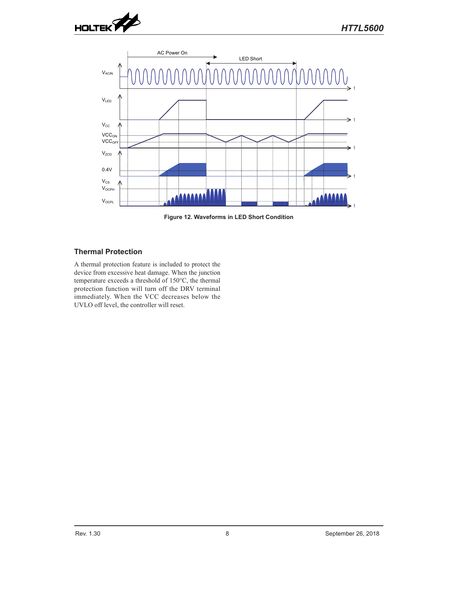



**Figure 12. Waveforms in LED Short Condition**

### **Thermal Protection**

A thermal protection feature is included to protect the device from excessive heat damage. When the junction temperature exceeds a threshold of 150°C, the thermal protection function will turn off the DRV terminal immediately. When the VCC decreases below the UVLO off level, the controller will reset.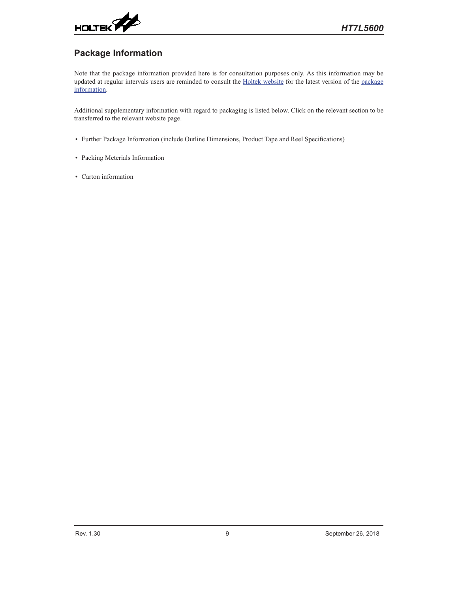

# **Package Information**

Note that the package information provided here is for consultation purposes only. As this information may be updated at regular intervals users are reminded to consult the [Holtek website](http://www.holtek.com/en/) for the latest version of the package [information.](http://www.holtek.com/en/package_carton_information)

Additional supplementary information with regard to packaging is listed below. Click on the relevant section to be transferred to the relevant website page.

- Further Package Information (include Outline Dimensions, Product Tape and Reel Specifications)
- Packing Meterials Information
- Carton information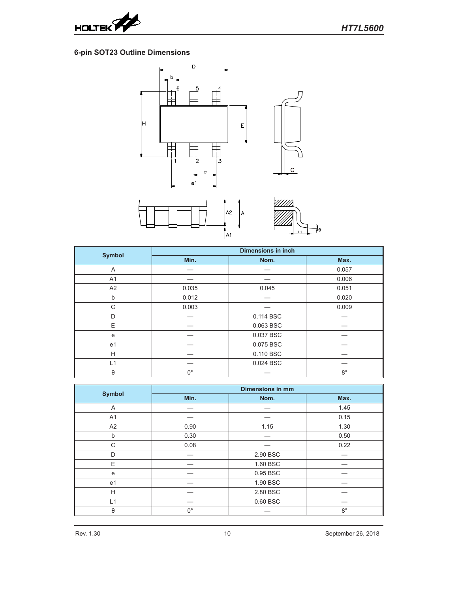

## **6-pin SOT23 Outline Dimensions**







|                | <b>Dimensions in inch</b> |           |             |  |
|----------------|---------------------------|-----------|-------------|--|
| <b>Symbol</b>  | Min.                      | Nom.      | Max.        |  |
| A              |                           |           | 0.057       |  |
| A <sub>1</sub> |                           |           | 0.006       |  |
| A2             | 0.035                     | 0.045     | 0.051       |  |
| b              | 0.012                     |           | 0.020       |  |
| C              | 0.003                     |           | 0.009       |  |
| D              |                           | 0.114 BSC |             |  |
| E              |                           | 0.063 BSC |             |  |
| e              |                           | 0.037 BSC |             |  |
| e <sub>1</sub> |                           | 0.075 BSC |             |  |
| H              |                           | 0.110 BSC |             |  |
| L1             |                           | 0.024 BSC |             |  |
| θ              | $0^{\circ}$               |           | $8^{\circ}$ |  |

|                | <b>Dimensions in mm</b> |          |             |  |
|----------------|-------------------------|----------|-------------|--|
| <b>Symbol</b>  | Min.                    | Nom.     | Max.        |  |
| A              |                         |          | 1.45        |  |
| A <sub>1</sub> |                         |          | 0.15        |  |
| A2             | 0.90                    | 1.15     | 1.30        |  |
| b              | 0.30                    |          | 0.50        |  |
| C              | 0.08                    |          | 0.22        |  |
| D              |                         | 2.90 BSC |             |  |
| E              |                         | 1.60 BSC |             |  |
| e              |                         | 0.95 BSC |             |  |
| e <sub>1</sub> |                         | 1.90 BSC |             |  |
| H              |                         | 2.80 BSC |             |  |
| L1             |                         | 0.60 BSC |             |  |
| $\theta$       | $0^{\circ}$             |          | $8^{\circ}$ |  |